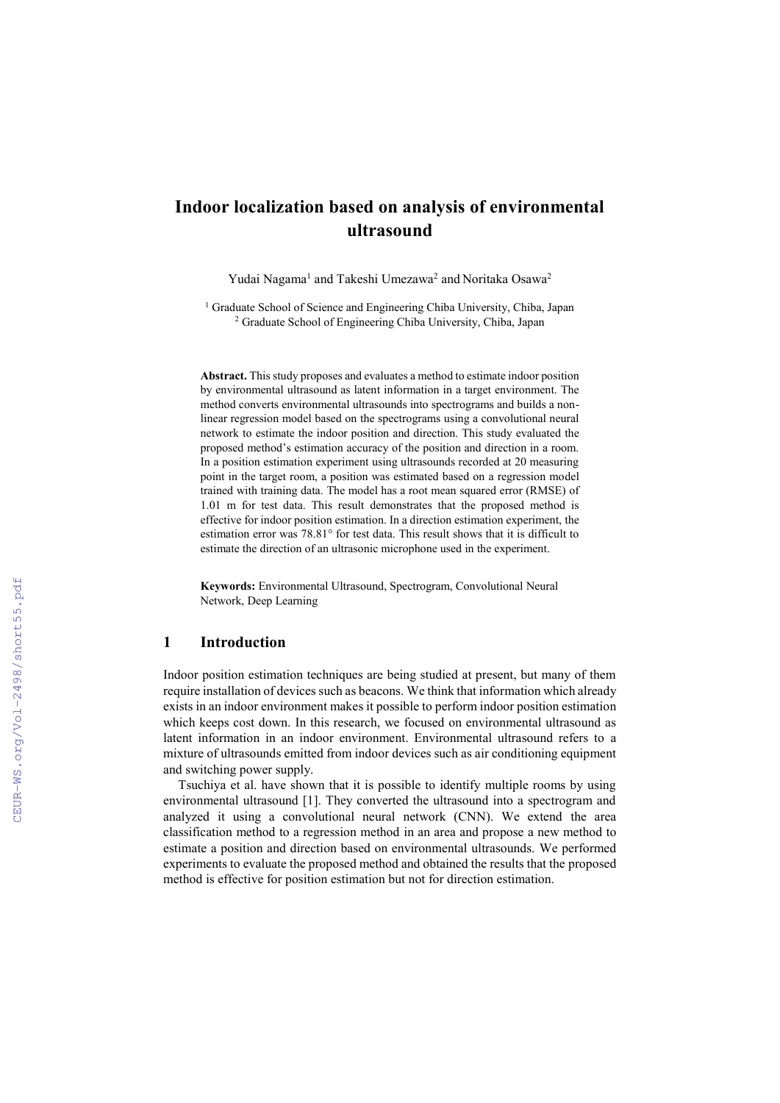# **Indoor localization based on analysis of environmental ultrasound**

Yudai Nagama<sup>1</sup> and Takeshi Umezawa<sup>2</sup> and Noritaka Osawa<sup>2</sup>

<sup>1</sup> Graduate School of Science and Engineering Chiba University, Chiba, Japan <sup>2</sup> Graduate School of Engineering Chiba University, Chiba, Japan

**Abstract.** This study proposes and evaluates a method to estimate indoor position by environmental ultrasound as latent information in a target environment. The method converts environmental ultrasounds into spectrograms and builds a nonlinear regression model based on the spectrograms using a convolutional neural network to estimate the indoor position and direction. This study evaluated the proposed method's estimation accuracy of the position and direction in a room. In a position estimation experiment using ultrasounds recorded at 20 measuring point in the target room, a position was estimated based on a regression model trained with training data. The model has a root mean squared error (RMSE) of 1.01 m for test data. This result demonstrates that the proposed method is effective for indoor position estimation. In a direction estimation experiment, the estimation error was 78.81° for test data. This result shows that it is difficult to estimate the direction of an ultrasonic microphone used in the experiment.

**Keywords:** Environmental Ultrasound, Spectrogram, Convolutional Neural Network, Deep Learning

### **1 Introduction**

Indoor position estimation techniques are being studied at present, but many of them require installation of devices such as beacons. We think that information which already exists in an indoor environment makes it possible to perform indoor position estimation which keeps cost down. In this research, we focused on environmental ultrasound as latent information in an indoor environment. Environmental ultrasound refers to a mixture of ultrasounds emitted from indoor devices such as air conditioning equipment and switching power supply.

Tsuchiya et al. have shown that it is possible to identify multiple rooms by using environmental ultrasound [1]. They converted the ultrasound into a spectrogram and analyzed it using a convolutional neural network (CNN). We extend the area classification method to a regression method in an area and propose a new method to estimate a position and direction based on environmental ultrasounds. We performed experiments to evaluate the proposed method and obtained the results that the proposed method is effective for position estimation but not for direction estimation.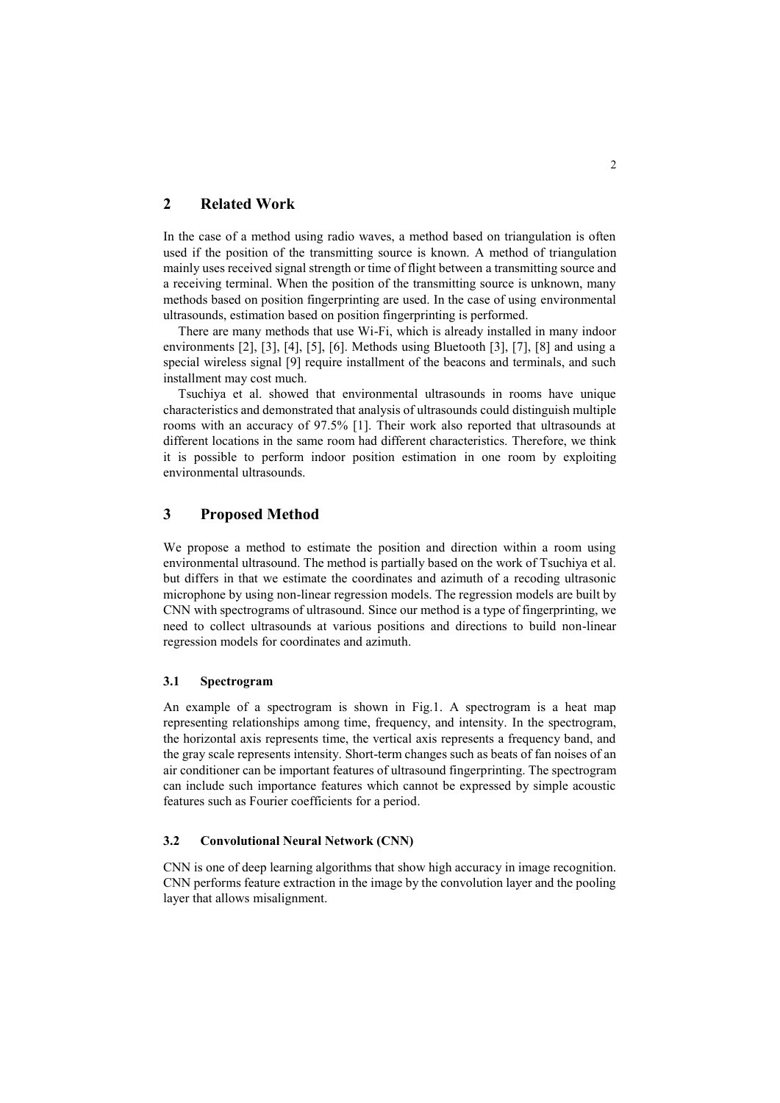# **2 Related Work**

In the case of a method using radio waves, a method based on triangulation is often used if the position of the transmitting source is known. A method of triangulation mainly uses received signal strength or time of flight between a transmitting source and a receiving terminal. When the position of the transmitting source is unknown, many methods based on position fingerprinting are used. In the case of using environmental ultrasounds, estimation based on position fingerprinting is performed.

There are many methods that use Wi-Fi, which is already installed in many indoor environments [2], [3], [4], [5], [6]. Methods using Bluetooth [3], [7], [8] and using a special wireless signal [9] require installment of the beacons and terminals, and such installment may cost much.

Tsuchiya et al. showed that environmental ultrasounds in rooms have unique characteristics and demonstrated that analysis of ultrasounds could distinguish multiple rooms with an accuracy of 97.5% [1]. Their work also reported that ultrasounds at different locations in the same room had different characteristics. Therefore, we think it is possible to perform indoor position estimation in one room by exploiting environmental ultrasounds.

# **3 Proposed Method**

We propose a method to estimate the position and direction within a room using environmental ultrasound. The method is partially based on the work of Tsuchiya et al. but differs in that we estimate the coordinates and azimuth of a recoding ultrasonic microphone by using non-linear regression models. The regression models are built by CNN with spectrograms of ultrasound. Since our method is a type of fingerprinting, we need to collect ultrasounds at various positions and directions to build non-linear regression models for coordinates and azimuth.

### **3.1 Spectrogram**

An example of a spectrogram is shown in Fig.1. A spectrogram is a heat map representing relationships among time, frequency, and intensity. In the spectrogram, the horizontal axis represents time, the vertical axis represents a frequency band, and the gray scale represents intensity. Short-term changes such as beats of fan noises of an air conditioner can be important features of ultrasound fingerprinting. The spectrogram can include such importance features which cannot be expressed by simple acoustic features such as Fourier coefficients for a period.

#### **3.2 Convolutional Neural Network (CNN)**

CNN is one of deep learning algorithms that show high accuracy in image recognition. CNN performs feature extraction in the image by the convolution layer and the pooling layer that allows misalignment.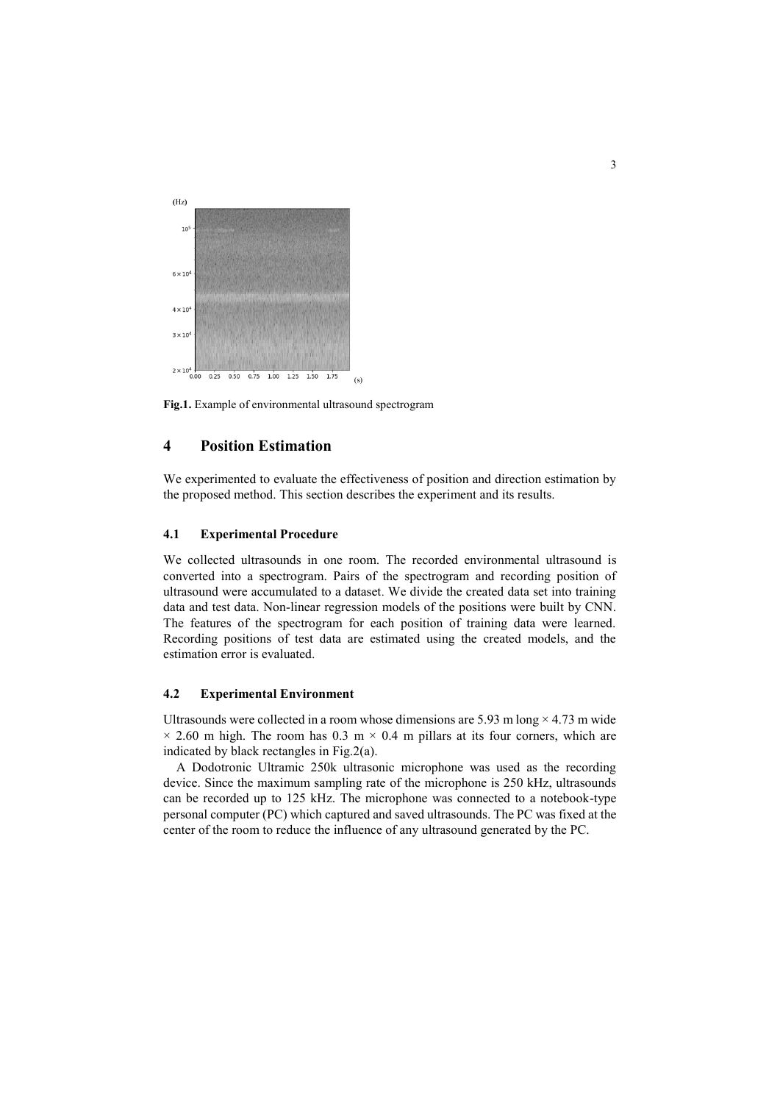

**Fig.1.** Example of environmental ultrasound spectrogram

# **4 Position Estimation**

We experimented to evaluate the effectiveness of position and direction estimation by the proposed method. This section describes the experiment and its results.

#### **4.1 Experimental Procedure**

We collected ultrasounds in one room. The recorded environmental ultrasound is converted into a spectrogram. Pairs of the spectrogram and recording position of ultrasound were accumulated to a dataset. We divide the created data set into training data and test data. Non-linear regression models of the positions were built by CNN. The features of the spectrogram for each position of training data were learned. Recording positions of test data are estimated using the created models, and the estimation error is evaluated.

### **4.2 Experimental Environment**

Ultrasounds were collected in a room whose dimensions are 5.93 m long  $\times$  4.73 m wide  $\times$  2.60 m high. The room has 0.3 m  $\times$  0.4 m pillars at its four corners, which are indicated by black rectangles in Fig.2(a).

A Dodotronic Ultramic 250k ultrasonic microphone was used as the recording device. Since the maximum sampling rate of the microphone is 250 kHz, ultrasounds can be recorded up to 125 kHz. The microphone was connected to a notebook-type personal computer (PC) which captured and saved ultrasounds. The PC was fixed at the center of the room to reduce the influence of any ultrasound generated by the PC.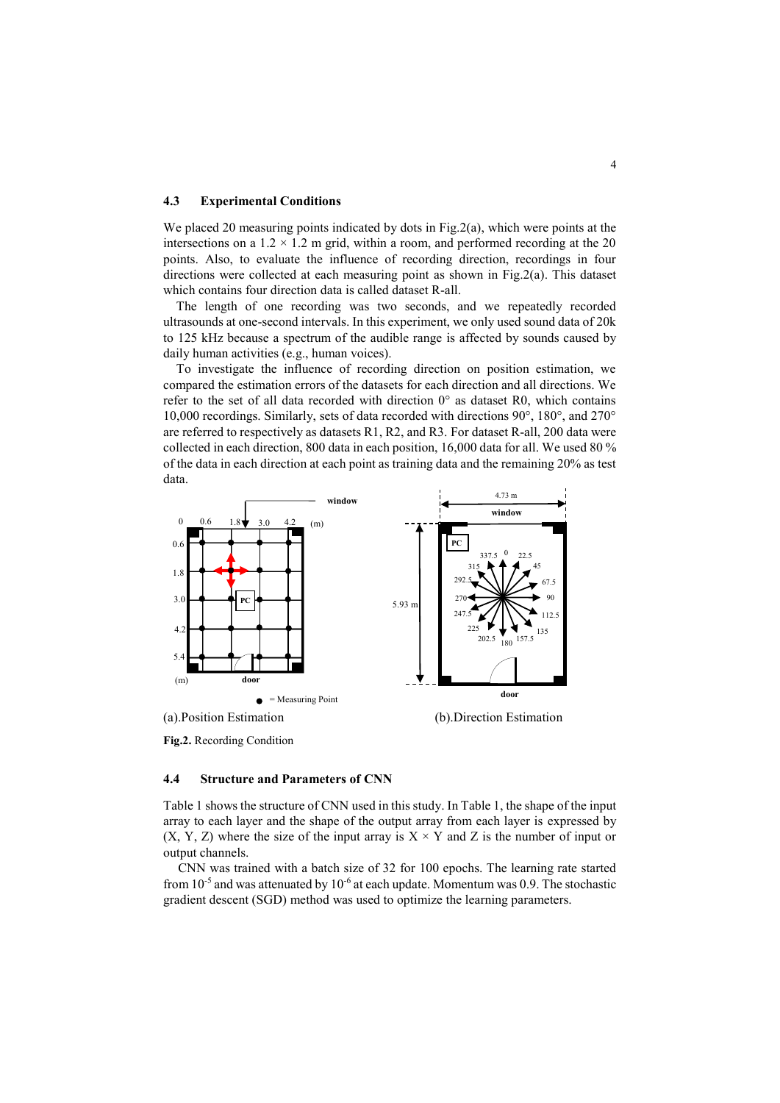#### **4.3 Experimental Conditions**

We placed 20 measuring points indicated by dots in Fig.2(a), which were points at the intersections on a  $1.2 \times 1.2$  m grid, within a room, and performed recording at the 20 points. Also, to evaluate the influence of recording direction, recordings in four directions were collected at each measuring point as shown in Fig.2(a). This dataset which contains four direction data is called dataset R-all.

The length of one recording was two seconds, and we repeatedly recorded ultrasounds at one-second intervals. In this experiment, we only used sound data of 20k to 125 kHz because a spectrum of the audible range is affected by sounds caused by daily human activities (e.g., human voices).

To investigate the influence of recording direction on position estimation, we compared the estimation errors of the datasets for each direction and all directions. We refer to the set of all data recorded with direction  $0^{\circ}$  as dataset R0, which contains 10,000 recordings. Similarly, sets of data recorded with directions 90°, 180°, and 270° are referred to respectively as datasets R1, R2, and R3. For dataset R-all, 200 data were collected in each direction, 800 data in each position, 16,000 data for all. We used 80 % of the data in each direction at each point as training data and the remaining 20% as test data.



**Fig.2.** Recording Condition

#### **4.4 Structure and Parameters of CNN**

Table 1 shows the structure of CNN used in this study. In Table 1, the shape of the input array to each layer and the shape of the output array from each layer is expressed by  $(X, Y, Z)$  where the size of the input array is  $X \times Y$  and Z is the number of input or output channels.

CNN was trained with a batch size of 32 for 100 epochs. The learning rate started from  $10^{-5}$  and was attenuated by  $10^{-6}$  at each update. Momentum was 0.9. The stochastic gradient descent (SGD) method was used to optimize the learning parameters.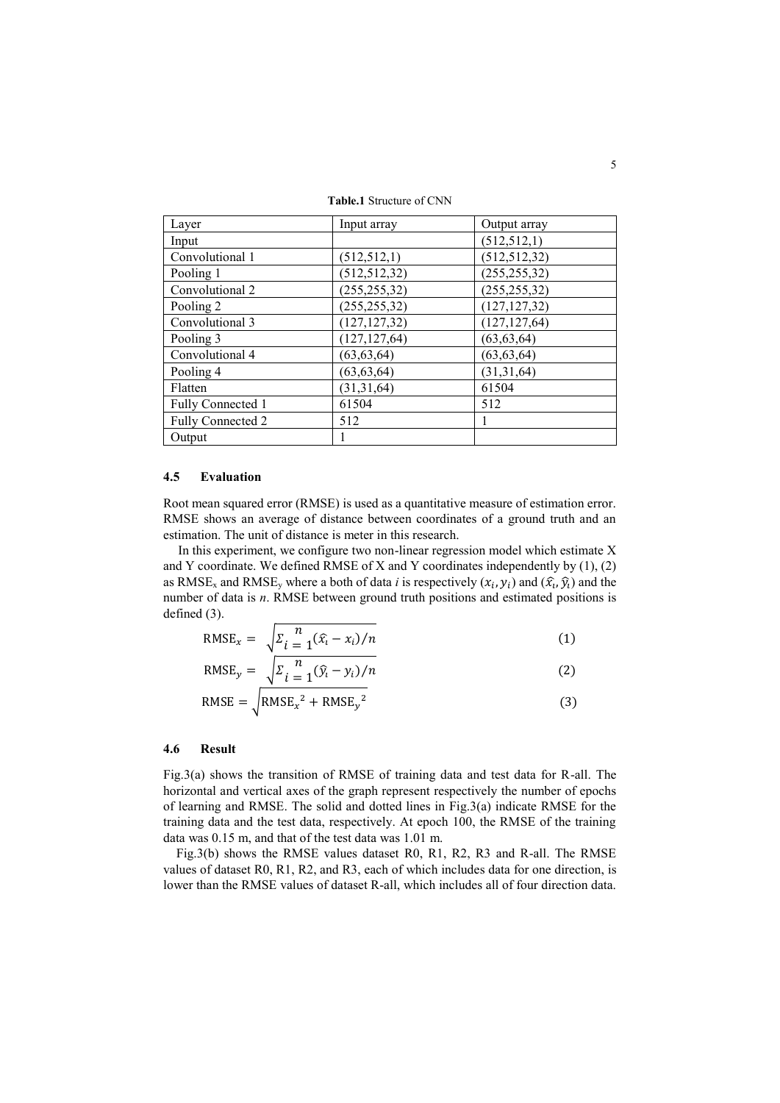**Table.1** Structure of CNN

| Layer             | Input array    | Output array   |
|-------------------|----------------|----------------|
| Input             |                | (512, 512, 1)  |
| Convolutional 1   | (512, 512, 1)  | (512, 512, 32) |
| Pooling 1         | (512, 512, 32) | (255, 255, 32) |
| Convolutional 2   | (255, 255, 32) | (255, 255, 32) |
| Pooling 2         | (255, 255, 32) | (127, 127, 32) |
| Convolutional 3   | (127, 127, 32) | (127, 127, 64) |
| Pooling 3         | (127, 127, 64) | (63, 63, 64)   |
| Convolutional 4   | (63, 63, 64)   | (63, 63, 64)   |
| Pooling 4         | (63, 63, 64)   | (31,31,64)     |
| Flatten           | (31,31,64)     | 61504          |
| Fully Connected 1 | 61504          | 512            |
| Fully Connected 2 | 512            |                |
| Output            |                |                |

#### **4.5 Evaluation**

Root mean squared error (RMSE) is used as a quantitative measure of estimation error. RMSE shows an average of distance between coordinates of a ground truth and an estimation. The unit of distance is meter in this research.

In this experiment, we configure two non-linear regression model which estimate X and Y coordinate. We defined RMSE of X and Y coordinates independently by  $(1)$ ,  $(2)$ as RMSE<sub>x</sub> and RMSE<sub>y</sub> where a both of data *i* is respectively  $(x_i, y_i)$  and  $(\hat{x_i}, \hat{y_i})$  and the number of data is *n*. RMSE between ground truth positions and estimated positions is defined (3).

$$
RMSE_x = \sqrt{\sum_{i=1}^{n} (\hat{x}_i - x_i)/n}
$$
 (1)

$$
RMSE_y = \sqrt{\sum_{i=1}^{n} (\hat{y}_i - y_i)/n}
$$
 (2)

$$
RMSE = \sqrt{RMSE_x^2 + RMSE_y^2}
$$
 (3)

#### **4.6 Result**

Fig.3(a) shows the transition of RMSE of training data and test data for R-all. The horizontal and vertical axes of the graph represent respectively the number of epochs of learning and RMSE. The solid and dotted lines in Fig.3(a) indicate RMSE for the training data and the test data, respectively. At epoch 100, the RMSE of the training data was 0.15 m, and that of the test data was 1.01 m.

Fig.3(b) shows the RMSE values dataset R0, R1, R2, R3 and R-all. The RMSE values of dataset R0, R1, R2, and R3, each of which includes data for one direction, is lower than the RMSE values of dataset R-all, which includes all of four direction data.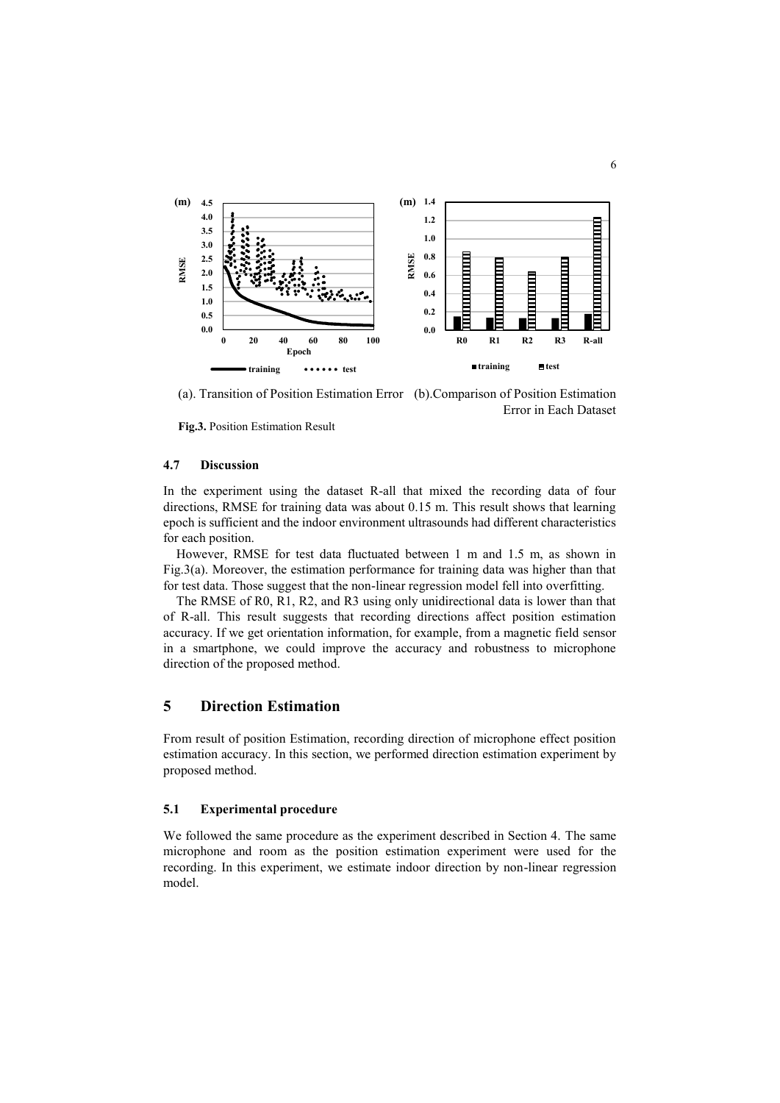

(a). Transition of Position Estimation Error (b).Comparison of Position Estimation Error in Each Dataset

**Fig.3.** Position Estimation Result

### **4.7 Discussion**

In the experiment using the dataset R-all that mixed the recording data of four directions, RMSE for training data was about 0.15 m. This result shows that learning epoch is sufficient and the indoor environment ultrasounds had different characteristics for each position.

However, RMSE for test data fluctuated between 1 m and 1.5 m, as shown in Fig.3(a). Moreover, the estimation performance for training data was higher than that for test data. Those suggest that the non-linear regression model fell into overfitting.

The RMSE of R0, R1, R2, and R3 using only unidirectional data is lower than that of R-all. This result suggests that recording directions affect position estimation accuracy. If we get orientation information, for example, from a magnetic field sensor in a smartphone, we could improve the accuracy and robustness to microphone direction of the proposed method.

### **5 Direction Estimation**

From result of position Estimation, recording direction of microphone effect position estimation accuracy. In this section, we performed direction estimation experiment by proposed method.

### **5.1 Experimental procedure**

We followed the same procedure as the experiment described in Section 4. The same microphone and room as the position estimation experiment were used for the recording. In this experiment, we estimate indoor direction by non-linear regression model.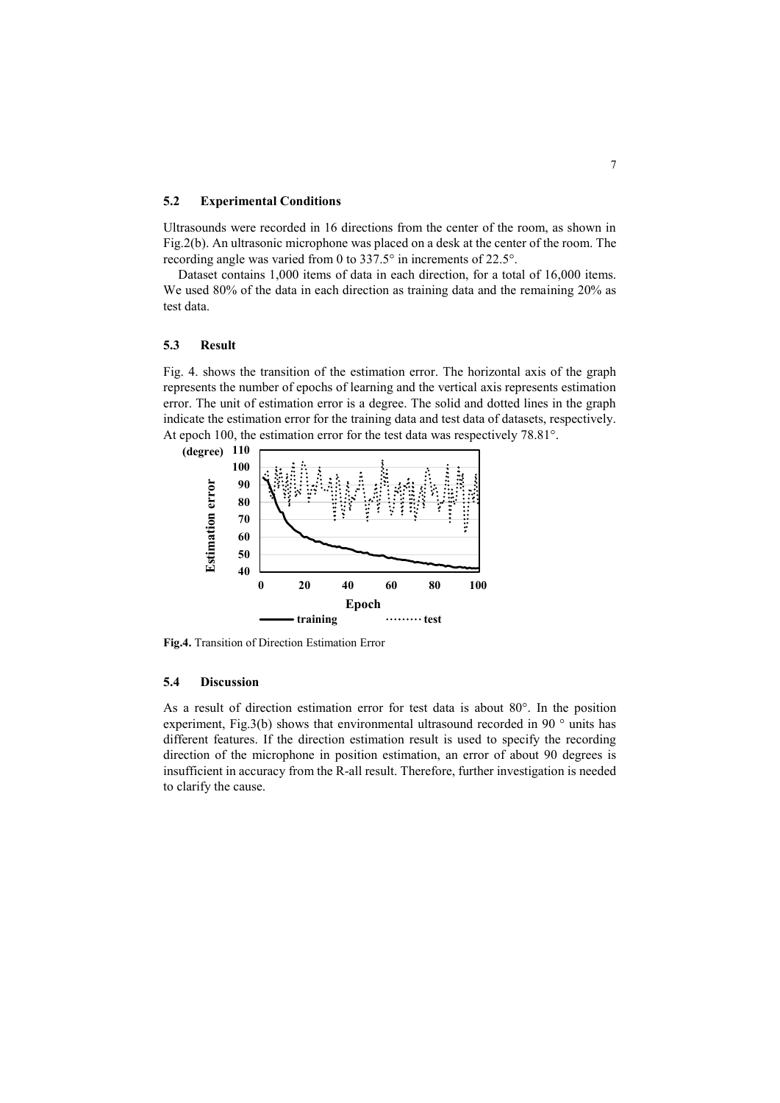#### **5.2 Experimental Conditions**

Ultrasounds were recorded in 16 directions from the center of the room, as shown in Fig.2(b). An ultrasonic microphone was placed on a desk at the center of the room. The recording angle was varied from 0 to 337.5° in increments of 22.5°.

Dataset contains 1,000 items of data in each direction, for a total of 16,000 items. We used 80% of the data in each direction as training data and the remaining 20% as test data.

#### **5.3 Result**

Fig. 4. shows the transition of the estimation error. The horizontal axis of the graph represents the number of epochs of learning and the vertical axis represents estimation error. The unit of estimation error is a degree. The solid and dotted lines in the graph indicate the estimation error for the training data and test data of datasets, respectively. At epoch 100, the estimation error for the test data was respectively 78.81°.



**Fig.4.** Transition of Direction Estimation Error

### **5.4 Discussion**

As a result of direction estimation error for test data is about 80°. In the position experiment, Fig.3(b) shows that environmental ultrasound recorded in 90 ° units has different features. If the direction estimation result is used to specify the recording direction of the microphone in position estimation, an error of about 90 degrees is insufficient in accuracy from the R-all result. Therefore, further investigation is needed to clarify the cause.